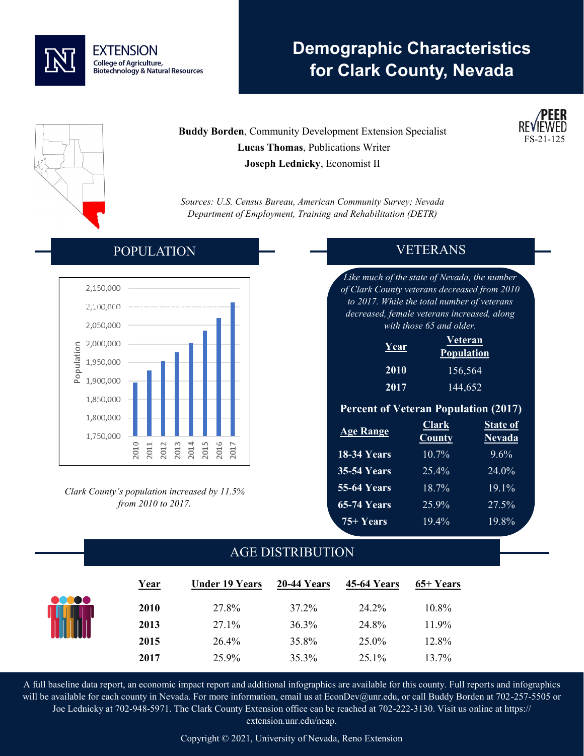

# **Demographic Characteristics for Clark County, Nevada**



## **Buddy Borden**, Community Development Extension Specialist  **Lucas Thomas**, Publications Writer **Joseph Lednicky**, Economist II

*Sources: U.S. Census Bureau, American Community Survey; Nevada Department of Employment, Training and Rehabilitation (DETR)*

#### 2.150.000 2,100,000 2,050,000 2,000,000 Population 1,950,000 1,900,000 1,850,000 1,800,000 1,750,000 2010 2012 2013 2014 2015 2016 2017 2011

POPULATION

*Clark County's population increased by 11.5% from 2010 to 2017.*

### VETERANS

 $FS-21-$ 

*Like much of the state of Nevada, the number of Clark County veterans decreased from 2010 to 2017. While the total number of veterans decreased, female veterans increased, along with those 65 and older.*

| <u>Year</u> | Veteran<br><b>Population</b> |
|-------------|------------------------------|
| 2010        | 156,564                      |
| 2017        | 144,652                      |

#### **Percent of Veteran Population (2017)**

| <b>Age Range</b>   | <b>Clark</b><br><b>County</b> | <b>State of</b><br><b>Nevada</b> |
|--------------------|-------------------------------|----------------------------------|
| <b>18-34 Years</b> | 10.7%                         | $9.6\%$                          |
| <b>35-54 Years</b> | 25.4%                         | 24.0%                            |
| <b>55-64 Years</b> | 18.7%                         | $19.1\%$                         |
| <b>65-74 Years</b> | 25.9%                         | 27.5%                            |
| $75 + Years$       | $19.4\%$                      | 19.8%                            |

# AGE DISTRIBUTION

| Year     | <b>Under 19 Years</b> | 20-44 Years | 45-64 Years | 65+ Years |
|----------|-----------------------|-------------|-------------|-----------|
| <br>2010 | 27.8%                 | 37.2%       | 24.2%       | 10.8%     |
| 2013     | 27.1%                 | 36.3%       | 24.8%       | 11.9%     |
| 2015     | 26.4%                 | 35.8%       | 25.0%       | 12.8%     |
| 2017     | 25.9%                 | 35.3%       | 25.1%       | 13.7%     |

A full baseline data report, an economic impact report and additional infographics are available for this county. Full reports and infographics will be available for each county in Nevada. For more information, email us at EconDev@unr.edu, or call Buddy Borden at 702-257-5505 or Joe Lednicky at 702-948-5971. The Clark County Extension office can be reached at 702-222-3130. Visit us online at https:// extension.unr.edu/neap.

Copyright © 2021, University of Nevada, Reno Extension